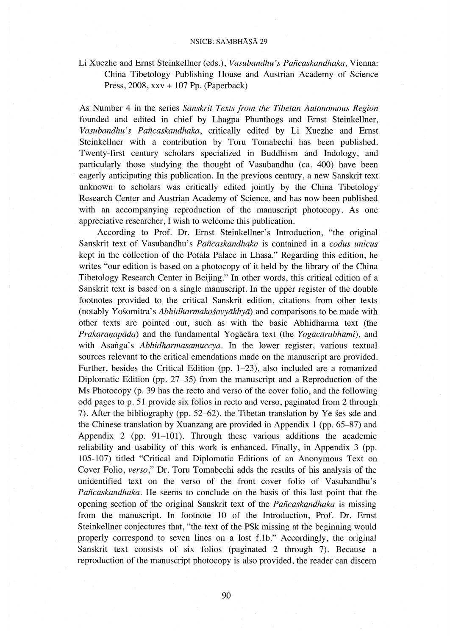## NSICB: SAMBHĀSĀ 29

Li Xuezhe and Ernst Steinkellner (eds.), *Vasubandhu's Paftcaskandhaka,* Vienna: China Tibetology Publishing House and Austrian Academy of Science Press, 2008, xxv + 107 Pp. (Paperback)

As Number 4 in the series *Sanskrit Texts from the Tibetan Autonomous Region*  founded and edited in chief by Lhagpa Phunthogs and Ernst Steinkellner, *Vasubandhu's Paftcaskandhaka,* critically edited by Li Xuezhe and Ernst Steinkellner with a contribution by Toru Tomabechi has been published. Twenty-first century scholars specialized in Buddhism and Indology, and particularly those studying the thought of Vasubandhu (ca. 400) have been eagerly anticipating this publication. In the previous century, a new Sanskrit text unknown to scholars was critically edited jointly by the China Tibetology Research Center and Austrian Academy of Science, and has now been published with an accompanying reproduction of the manuscript photocopy. As one appreciative researcher, I wish to welcome this publication.

According to Prof. Dr. Ernst Steinkellner's Introduction, "the original Sanskrit text of Vasubandhu's *Paftcaskandhaka* is contained in a *codus unicus*  kept in the collection of the Potala Palace in Lhasa." Regarding this edition, he writes "our edition is based on a photocopy of it held by the library of the China Tibetology Research Center in Beijing." In other words, this critical edition of a Sanskrit text is based on a single manuscript. In the upper register of the double footnotes provided to the critical Sanskrit edition, citations from other texts (notably Yosomitra's *Abhidharmakosavyakhya)* and comparisons to be made with other texts are pointed out, such as with the basic Abhidharma text (the *Prakaranapāda*) and the fundamental Yogācāra text (the *Yogācārabhūmi*), and with Asanga's *Abhidharmasamuccya*. In the lower register, various textual sources relevant to the critical emendations made on the manuscript are provided. Further, besides the Critical Edition (pp. 1-23), also included are a romanized Diplomatic Edition (pp. 27-35) from the manuscript and a Reproduction of the Ms Photocopy (p. 39 has the recto and verso of the cover folio, and the following odd pages top. 51 provide six folios in recto and verso, paginated from 2 through 7). After the bibliography (pp. 52–62), the Tibetan translation by Ye ses sde and the Chinese translation by Xuanzang are provided in Appendix 1 (pp. 65-87) and Appendix 2 (pp. 91-101). Through these various additions the academic reliability and usability of this work is enhanced. Finally, in Appendix 3 (pp. 105-107) titled "Critical and Diplomatic Editions of an Anonymous Text on Cover Folio, *verso,"* Dr. Toru Tomabechi adds the results of his analysis of the unidentified text on the verso of the front cover folio of Vasubandhu's *Paftcaskandhaka.* He seems to conclude on the basis of this last point that the opening section of the original Sanskrit text of the *Paftcaskandhaka* is missing from the manuscript. In footnote 10 of the Introduction, Prof. Dr. Ernst Steinkellner conjectures that, "the text of the PSk missing at the beginning would properly correspond to seven lines on a lost f.1b." Accordingly, the original Sanskrit text consists of six folios (paginated 2 through 7). Because a reproduction of the manuscript photocopy is also provided, the reader can discern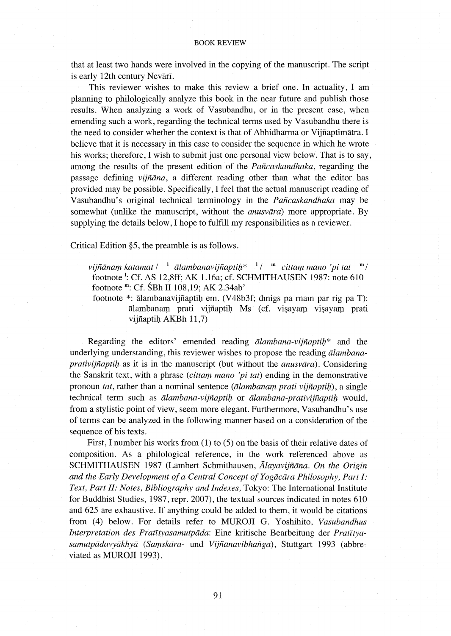that at least two hands were involved in the copying of the manuscript. The script is early 12th century Nevari.

This reviewer wishes to make this review a brief one. In actuality, I am planning to philologically analyze this book in the near future and publish those results. When analyzing a work of Vasubandhu, or in the present case, when emending such a work, regarding the technical terms used by Vasubandhu there is the need to consider whether the context is that of Abhidharma or Vijfiaptimatra. I believe that it is necessary in this case to consider the sequence in which he wrote his works; therefore, I wish to submit just one personal view below. That is to say, among the results of the present edition of the *Paftcaskandhaka,* regarding the passage defining *vijftana,* a different reading other than what the editor has provided may be possible. Specifically, I feel that the actual manuscript reading of Vasubandhu's original technical terminology in the *Paftcaskandhaka* may be somewhat (unlike the manuscript, without the *anusvara)* more appropriate. By supplying the details below, I hope to fulfill my responsibilities as a reviewer.

Critical Edition §5, the preamble is as follows.

*vijñānam katamat |*<sup>1</sup> *ālambanavijñaptih*\*<sup>1</sup> /<sup>m</sup> *cittam mano 'pi tat* <sup>m</sup> / footnote 1: Cf. AS 12,8ff; AK 1.16a; cf. SCHMITHAUSEN 1987: note 610 footnote m: Cf. SBh II 108,19; AK 2.34ab'

footnote \*: alambanavijfiaptil) em. (V48b3f; dmigs pa rnam par rig paT): ālambanam prati vijñaptih Ms (cf. visayam visayam prati vijñaptih AKBh 11,7)

Regarding the editors' emended reading *alambana-vijñaptih*\* and the underlying understanding, this reviewer wishes to propose the reading *alambanaprativijñaptih* as it is in the manuscript (but without the *anusvara*). Considering the Sanskrit text, with a phrase *(cittam mano 'pi tat)* ending in the demonstrative pronoun *tat*, rather than a nominal sentence *(alambanam prati vijñaptih)*, a single technical term such as *ālambana-vijñaptiḥ* or *ālambana-prativijñaptiḥ* would, from a stylistic point of view, seem more elegant. Furthermore, Vasubandhu's use of terms can be analyzed in the following manner based on a consideration of the sequence of his texts.

First, I number his works from (1) to (5) on the basis of their relative dates of composition. As a philological reference, in the work referenced above as SCHMITHAUSEN 1987 (Lambert Schmithausen, *Alayavijfiana. On the Origin and the Early Development of a Central Concept of Yogacara Philosophy, Part I: Text, Part II: Notes, Bibliography and Indexes,* Tokyo: The International Institute for Buddhist Studies, 1987, repr. 2007), the textual sources indicated in notes 610 and 625 are exhaustive. If anything could be added to them, it would be citations from (4) below. For details refer to MUROJI G. Yoshihito, *Vasubandhus*  Interpretation des Pratītyasamutpāda: Eine kritische Bearbeitung der Pratītyasamutpādavyākhyā (Samskāra- und Vijñānavibhanga), Stuttgart 1993 (abbreviated as MUROJI 1993).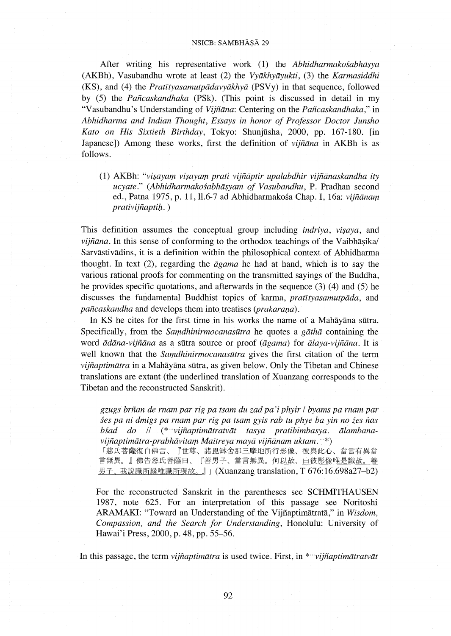### NSICB: SAMBHĀSĀ 29

After writing his representative work (1) the *Abhidharmakośabhāṣya* (AKBh), Vasubandhu wrote at least (2) the *Vyakhyayukti,* (3) the *Karmasiddhi*  (KS), and (4) the *Pratztyasamutpadavyakhya* (PSVy) in that sequence, followed by (5) the *Pañcaskandhaka* (PSk). (This point is discussed in detail in my "Vasubandhu's Understanding of *Vijñāna*: Centering on the *Pañcaskandhaka*," in *Abhidharma and Indian Thought, Essays in honor of Professor Doctor Junsho Kato on His Sixtieth Birthday,* Tokyo: Shunjilsha, 2000, pp. 167-180. [in Japanese]) Among these works, first the definition of *vijiiana* in AKBh is as follows.

(1) AKBh: *"vi\$ayam vi\$ayam prati vijiiaptir upalabdhir vijiianaskandha ity ucyate." (Abhidharmakosabha\$yam of Vasubandhu,* P. Pradhan second ed., Patna 1975, p. 11, 11.6-7 ad Abhidhannakosa Chap. I, 16a: *vijiianam*   $prativij\tilde{n}aptih.$ )

This definition assumes the conceptual group including *indriva*, *visaya*, and *vijñāna*. In this sense of conforming to the orthodox teachings of the Vaibhasika/ Sarvastivadins, it is a definition within the philosophical context of Abhidharma thought. In text (2), regarding the *agama* he had at hand, which is to say the various rational proofs for commenting on the transmitted sayings of the Buddha, he provides specific quotations, and afterwards in the sequence (3) (4) and (5) he discusses the fundamental Buddhist topics of karma, *pratrtyasamutpada,* and *pañcaskandha* and develops them into treatises *(prakarana)*.

In KS he cites for the first time in his works the name of a Mahayana siltra. Specifically, from the *Samdhinirmocanasatra* he quotes a *gatha* containing the word *adana-vijiiana* as a siltra source or proof *(agama)* for *alaya-vijiiana.* It is well known that the *Samdhinirmocanasutra* gives the first citation of the term *vijiiaptimatra* in a Mahayana siltra, as given below. Only the Tibetan and Chinese translations are extant (the underlined translation of Xuanzang corresponds to the Tibetan and the reconstructed Sanskrit).

*gzugs briian de rnam par rig pa tsam du zad pa'i phyir* I *byams pa rnam par ses pa ni dmigs pa rnam par rig pa tsam gyis rab tu phye ba yin no źes nas bsad do* II (\* *vijiiaptimatratvat tasya pratibimbasya. alambanavijiiaptimatra-prabhavitam Maitreya maya vijiianam uktam.* \*)

「慈氏菩薩復白佛言、『世尊、諸毘缽舍那三摩地所行影像、彼與此心、當言有異當 言無異。』佛告慈氏菩薩曰、『善男子、當言無異。何以故、由彼影像唯是識故。善 男子、我說識所縁唯識所現故。』J (Xuanzang translation, T 676:16.698a27-b2)

For the reconstructed Sanskrit in the parentheses see SCHMITHAUSEN 1987, note 625. For an interpretation of this passage see Noritoshi ARAMAKI: "Toward an Understanding of the Vijfiaptimatrata," in *Wisdom, Compassion, and the Search for Understanding,* Honolulu: University of Hawai'i Press, 2000, p. 48, pp. 55-56.

In this passage, the term *vijñaptimātra* is used twice. First, in \**vijñaptimātratvāt*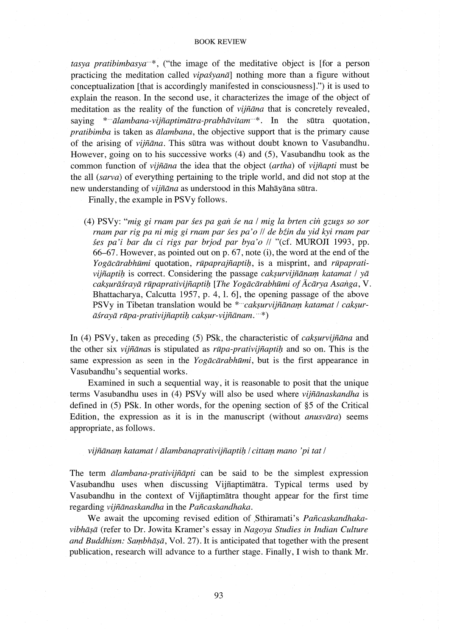#### BOOK REVIEW

*tasya pratibimbasya* \*, ("the image of the meditative object is [for a person practicing the meditation called *vipasyana]* nothing more than a figure without conceptualization [that is accordingly manifested in consciousness].") it is used to explain the reason. In the second use, it characterizes the image of the object of meditation as the reality of the function of *vijfiana* that is concretely revealed, saying \* *alambana-vijñaptimātra-prabhāvitam* \*. In the sūtra quotation, *pratibimba* is taken as *alambana,* the objective support that is the primary cause of the arising of *vijfiana.* This sutra was without doubt known to Vasubandhu. However, going on to his successive works (4) and (5), Vasubandhu took as the common function of *vijfiana* the idea that the object *(artha)* of *vijfiapti* must be the all *(sarva)* of everything pertaining to the triple world, and did not stop at the new understanding of *vijfiana* as understood in this Mahayana sutra.

Finally, the example in PSVy follows.

(4) PSVy: *"mig gi rnam parses pa gmi se na* I *mig la brten cili gzugs so sor rnam par rig pa ni mig gi rnam par ses pa 'o* I I *de biin du yid kyi rnam par ses pa'i bar du ci rigs par brjod par bya'o* II "(cf. MUROJI 1993, pp. 66-67. However, as pointed out on p. 67, note (i), the word at the end of the *Yogācārabhūmi* quotation, *rūpaprajñaptiḥ*, is a misprint, and *rūpaprativijñaptih* is correct. Considering the passage *caksurvijñānam katamat* / yā *cak:;urasraya rapaprativijfiapti/:t [The Yogacarabhami of Acarya Asmiga,* V. Bhattacharya, Calcutta 1957, p. 4, 1. 6], the opening passage of the above PSVy in Tibetan translation would be \**"cakṣurvijñānaṃ katamat | cakṣur-* $\bar{a}$ *srayā rūpa-prativijñaptih caksur-vijñānam.* \*\*)

In (4) PSVy, taken as preceding  $(5)$  PSk, the characteristic of *caksurvijñana* and the other six *vijñanas* is stipulated as *rūpa-prativijñaptih* and so on. This is the same expression as seen in the *Yogacarabhami,* but is the first appearance in Vasubandhu's sequential works.

Examined in such a sequential way, it is reasonable to posit that the unique terms Vasubandhu uses in (4) PSVy will also be used where *vijfianaskandha* is defined in (5) PSk. In other words, for the opening section of §5 of the Critical Edition, the expression as it is in the manuscript (without *anusvara)* seems appropriate, as follows.

*vijfianam katamat* I *alambanaprativijfiapti/:t* I *cittam mana 'pi tat* I

The term *alambana-prativijfiapti* can be said to be the simplest expression Vasubandhu uses when discussing Vijfiaptimatra. Typical terms used by V asubandhu in the context of Vijfiaptimatra thought appear for the first time regarding *vijfianaskandha* in the *Paficaskandhaka.* 

We await the upcoming revised edition of .Sthiramati's *Paficaskandhaka*vibhāṣā (refer to Dr. Jowita Kramer's essay in *Nagoya Studies in Indian Culture* and Buddhism: Sambhāṣā, Vol. 27). It is anticipated that together with the present publication, research will advance to a further stage. Finally, I wish to thank Mr.